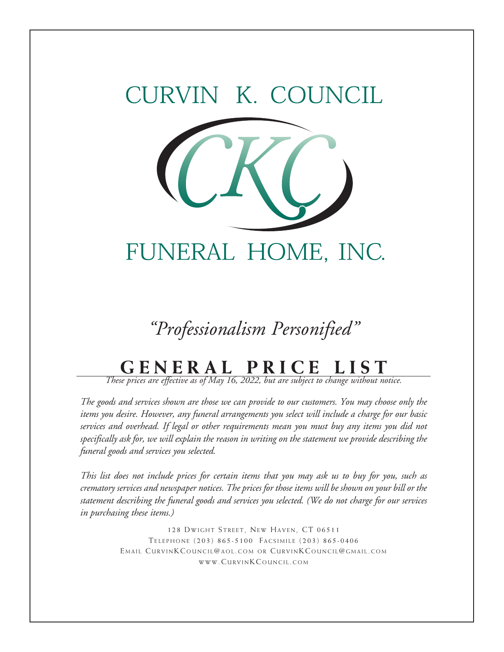# RVIN K. COUNCIL



### *"Professionalism Personified"*

## **GENERAL PRICE LIST**

*These prices are effective as of May 16, 2022, but are subject to change without notice.*

*The goods and services shown are those we can provide to our customers. You may choose only the items you desire. However, any funeral arrangements you select will include a charge for our basic services and overhead. If legal or other requirements mean you must buy any items you did not specifically ask for, we will explain the reason in writing on the statement we provide describing the funeral goods and services you selected.*

*This list does not include prices for certain items that you may ask us to buy for you, such as crematory services and newspaper notices. The prices for those items will be shown on your bill or the statement describing the funeral goods and services you selected. (We do not charge for our services in purchasing these items.)*

> 128 DWIGHT STREET, NEW HAVEN, CT 06511 TELEPHONE (203) 865-5100 FACSIMILE (203) 865-0406 EMAIL CURVINK COUNCIL@AOL.COM OR CURVINK COUNCIL@GMAIL.COM www.Curvin K Council.com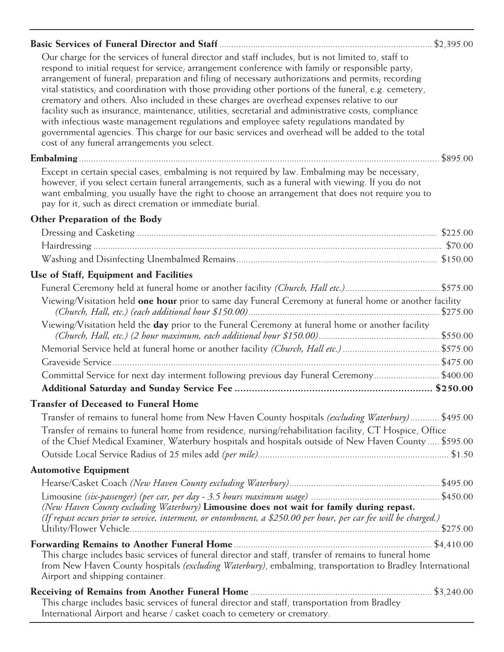|--|--|

Our charge for the services of funeral director and staff includes, but is not limited to, staff to respond to initial request for service; arrangement conference with family or responsible party; arrangement of funeral; preparation and filing of necessary authorizations and permits; recording vital statistics; and coordination with those providing other portions of the funeral, e.g. cemetery, crematory and others. Also included in these charges are overhead expenses relative to our facility such as insurance, maintenance, utilities, secretarial and administrative costs, compliance with infectious waste management regulations and employee safety regulations mandated by governmental agencies. This charge for our basic services and overhead will be added to the total cost of any funeral arrangements you select.

#### **Embalming** ..................................................................................................................................................... \$895.00

Except in certain special cases, embalming is not required by law. Embalming may be necessary, however, if you select certain funeral arrangements, such as a funeral with viewing. If you do not want embalming, you usually have the right to choose an arrangement that does not require you to pay for it, such as direct cremation or immediate burial.

#### **Other Preparation of the Body**

| Use of Staff, Equipment and Facilities                                                                                                                                                                                                                 |  |
|--------------------------------------------------------------------------------------------------------------------------------------------------------------------------------------------------------------------------------------------------------|--|
|                                                                                                                                                                                                                                                        |  |
| Viewing/Visitation held <b>one hour</b> prior to same day Funeral Ceremony at funeral home or another facility                                                                                                                                         |  |
| Viewing/Visitation held the day prior to the Funeral Ceremony at funeral home or another facility                                                                                                                                                      |  |
|                                                                                                                                                                                                                                                        |  |
|                                                                                                                                                                                                                                                        |  |
| Committal Service for next day interment following previous day Funeral Ceremony\$400.00                                                                                                                                                               |  |
|                                                                                                                                                                                                                                                        |  |
| <b>Transfer of Deceased to Funeral Home</b>                                                                                                                                                                                                            |  |
| Transfer of remains to funeral home from New Haven County hospitals (excluding Waterbury) \$495.00                                                                                                                                                     |  |
| Transfer of remains to funeral home from residence, nursing/rehabilitation facility, CT Hospice, Office<br>of the Chief Medical Examiner, Waterbury hospitals and hospitals outside of New Haven County \$595.00                                       |  |
|                                                                                                                                                                                                                                                        |  |
| <b>Automotive Equipment</b>                                                                                                                                                                                                                            |  |
|                                                                                                                                                                                                                                                        |  |
|                                                                                                                                                                                                                                                        |  |
| (New Haven County excluding Waterbury) Limousine does not wait for family during repast.                                                                                                                                                               |  |
| (If repast occurs prior to service, interment, or entombment, a \$250.00 per hour, per car fee will be charged.)                                                                                                                                       |  |
|                                                                                                                                                                                                                                                        |  |
| This charge includes basic services of funeral director and staff, transfer of remains to funeral home<br>from New Haven County hospitals (excluding Waterbury), embalming, transportation to Bradley International<br>Airport and shipping container. |  |
| This charge includes basic services of funeral director and staff, transportation from Bradley<br>International Airport and hearse / casket coach to cemetery or crematory.                                                                            |  |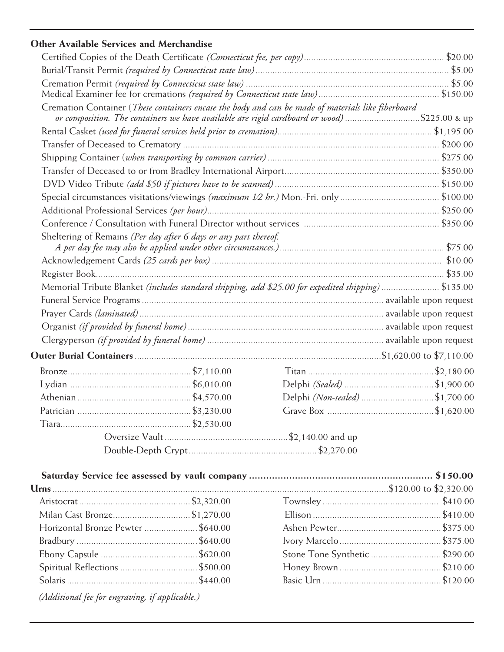### **Other Available Services and Merchandise**

|                                                                                             |  | Cremation Container (These containers encase the body and can be made of materials like fiberboard |                                |
|---------------------------------------------------------------------------------------------|--|----------------------------------------------------------------------------------------------------|--------------------------------|
| or composition. The containers we have available are rigid cardboard or wood) \$225.00 & up |  |                                                                                                    |                                |
|                                                                                             |  |                                                                                                    |                                |
|                                                                                             |  |                                                                                                    |                                |
|                                                                                             |  |                                                                                                    |                                |
|                                                                                             |  |                                                                                                    |                                |
|                                                                                             |  |                                                                                                    |                                |
|                                                                                             |  |                                                                                                    |                                |
|                                                                                             |  |                                                                                                    |                                |
| Sheltering of Remains (Per day after 6 days or any part thereof.                            |  |                                                                                                    |                                |
|                                                                                             |  |                                                                                                    |                                |
|                                                                                             |  |                                                                                                    |                                |
|                                                                                             |  | Memorial Tribute Blanket (includes standard shipping, add \$25.00 for expedited shipping) \$135.00 |                                |
|                                                                                             |  |                                                                                                    |                                |
|                                                                                             |  |                                                                                                    |                                |
|                                                                                             |  |                                                                                                    |                                |
|                                                                                             |  |                                                                                                    |                                |
|                                                                                             |  |                                                                                                    |                                |
|                                                                                             |  |                                                                                                    |                                |
|                                                                                             |  |                                                                                                    |                                |
|                                                                                             |  |                                                                                                    | Delphi (Non-sealed) \$1,700.00 |
|                                                                                             |  |                                                                                                    |                                |
|                                                                                             |  |                                                                                                    |                                |
|                                                                                             |  |                                                                                                    |                                |
|                                                                                             |  |                                                                                                    |                                |

| Milan Cast Bronze \$1,270.00       |  |                                |  |  |
|------------------------------------|--|--------------------------------|--|--|
| Horizontal Bronze Pewter  \$640.00 |  |                                |  |  |
|                                    |  |                                |  |  |
|                                    |  | Stone Tone Synthetic  \$290.00 |  |  |
|                                    |  |                                |  |  |
|                                    |  |                                |  |  |
|                                    |  |                                |  |  |

 *(Additional fee for engraving, if applicable.)*